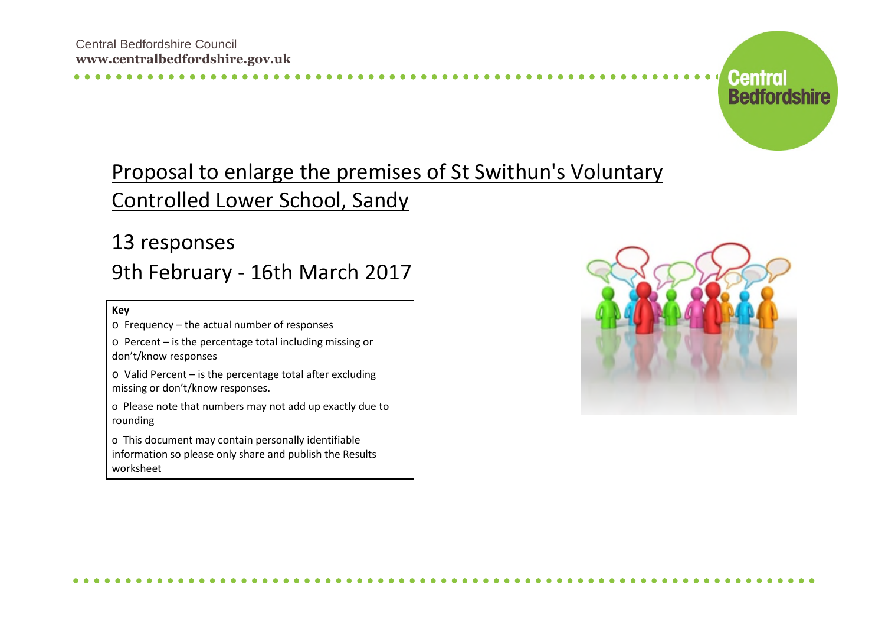

## Proposal to enlarge the premises of St Swithun's Voluntary Controlled Lower School, Sandy

## 13 responses 9th February - 16th March 2017

**Key**

o Frequency – the actual number of responses

o Percent – is the percentage total including missing or don't/know responses

o Valid Percent – is the percentage total after excluding missing or don't/know responses.

o Please note that numbers may not add up exactly due to rounding

o This document may contain personally identifiable information so please only share and publish the Results worksheet

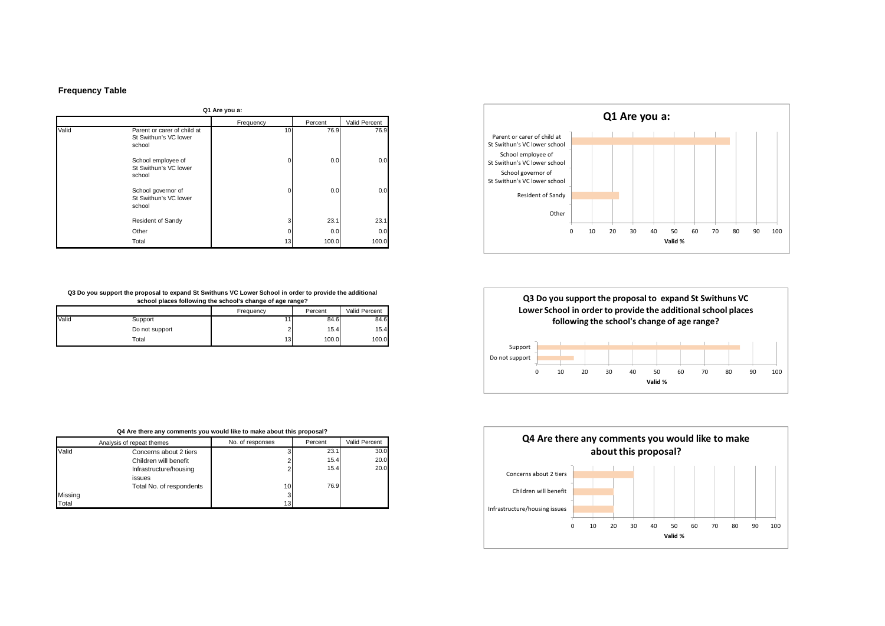## **Frequency Table**

**Q1 Are you a:**

| un rue veu u. |                                                                |                 |         |               |
|---------------|----------------------------------------------------------------|-----------------|---------|---------------|
|               |                                                                | Frequency       | Percent | Valid Percent |
| Valid         | Parent or carer of child at<br>St Swithun's VC lower<br>school | 10 <sup>1</sup> | 76.9    | 76.9          |
|               | School employee of<br>St Swithun's VC lower<br>school          |                 | 0.0     | 0.0           |
|               | School governor of<br>St Swithun's VC lower<br>school          | U               | 0.0     | 0.0           |
|               | Resident of Sandy                                              | 3               | 23.1    | 23.1          |
|               | Other                                                          |                 | 0.0     | 0.0           |
|               | Total                                                          | 13              | 100.0   | 100.0         |

## **Q3 Do you support the proposal to expand St Swithuns VC Lower School in order to provide the additional school places following the school's change of age range?**

|       |                | Frequency       | Percent | Valid Percent |
|-------|----------------|-----------------|---------|---------------|
| Valid | Support        |                 | 84.6    | 84.6          |
|       | Do not support | ı               | 15.4    | 15.4          |
|       | Total          | 13 <sub>1</sub> | 100.0   | 100.0         |

| Q4 Are there any comments you would like to make about this proposal? |                           |                  |         |               |
|-----------------------------------------------------------------------|---------------------------|------------------|---------|---------------|
|                                                                       | Analysis of repeat themes | No. of responses | Percent | Valid Percent |
| Valid                                                                 | Concerns about 2 tiers    |                  | 23.1    | 30.0          |
|                                                                       | Children will benefit     |                  | 15.4    | 20.0          |
|                                                                       | Infrastructure/housing    |                  | 15.4    | 20.0          |
|                                                                       | issues                    |                  |         |               |
|                                                                       | Total No. of respondents  | 10               | 76.9    |               |
| Missing                                                               |                           | 3                |         |               |
| Total                                                                 |                           | 13               |         |               |





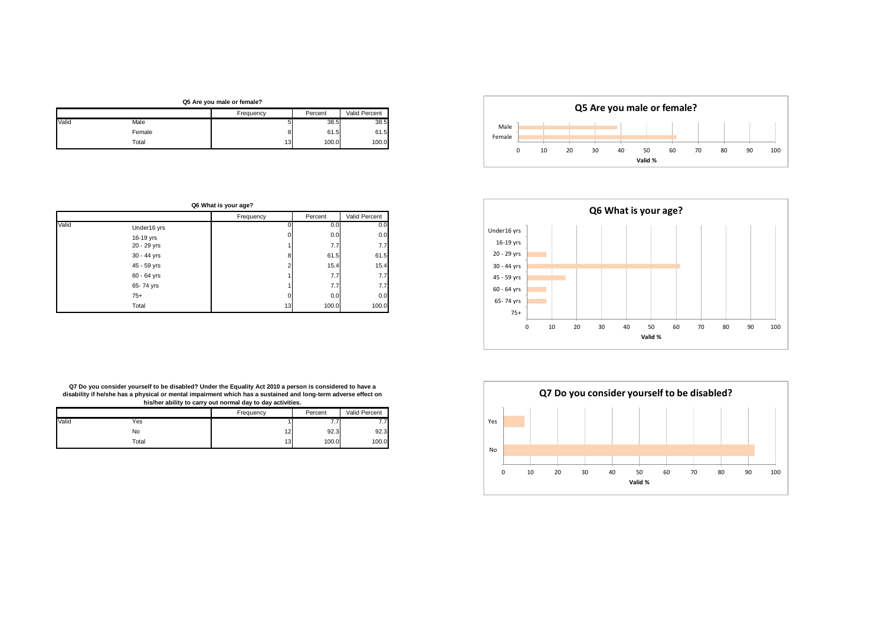





**Q5 Are you male or female?**

|       |        | Frequency       | Percent | Valid Percent |
|-------|--------|-----------------|---------|---------------|
| Valid | Male   |                 | 38.5    | 38.5          |
|       | Female |                 | 61.5    | 61.5          |
|       | Total  | 13 <sub>1</sub> | 100.0   | 100.0         |

| Q6 What is your age? |             |           |         |               |
|----------------------|-------------|-----------|---------|---------------|
|                      |             | Frequency | Percent | Valid Percent |
| Valid                | Under16 yrs |           | 0.0     | 0.0           |
|                      | 16-19 yrs   |           | 0.0     | 0.0           |
|                      | 20 - 29 yrs |           | 7.7     | 7.7           |
|                      | 30 - 44 yrs | 8         | 61.5    | 61.5          |
|                      | 45 - 59 yrs | 2         | 15.4    | 15.4          |
|                      | 60 - 64 yrs |           | 7.7     | 7.7           |
|                      | 65-74 yrs   |           | 7.7     | 7.7           |
|                      | $75+$       | 0         | 0.0     | 0.0           |
|                      | Total       | 13        | 100.0   | 100.0         |

**Q7 Do you consider yourself to be disabled? Under the Equality Act 2010 a person is considered to have a disability if he/she has a physical or mental impairment which has a sustained and long-term adverse effect on his/her ability to carry out normal day to day activities.**

|       |       | Frequency | Percent           | Valid Percent |
|-------|-------|-----------|-------------------|---------------|
| Valid | Yes   |           | $\cdot\cdot\cdot$ |               |
|       | No    | 12        | 92.3              | 92.3          |
|       | Total | 13        | 100.0             | 100.0         |